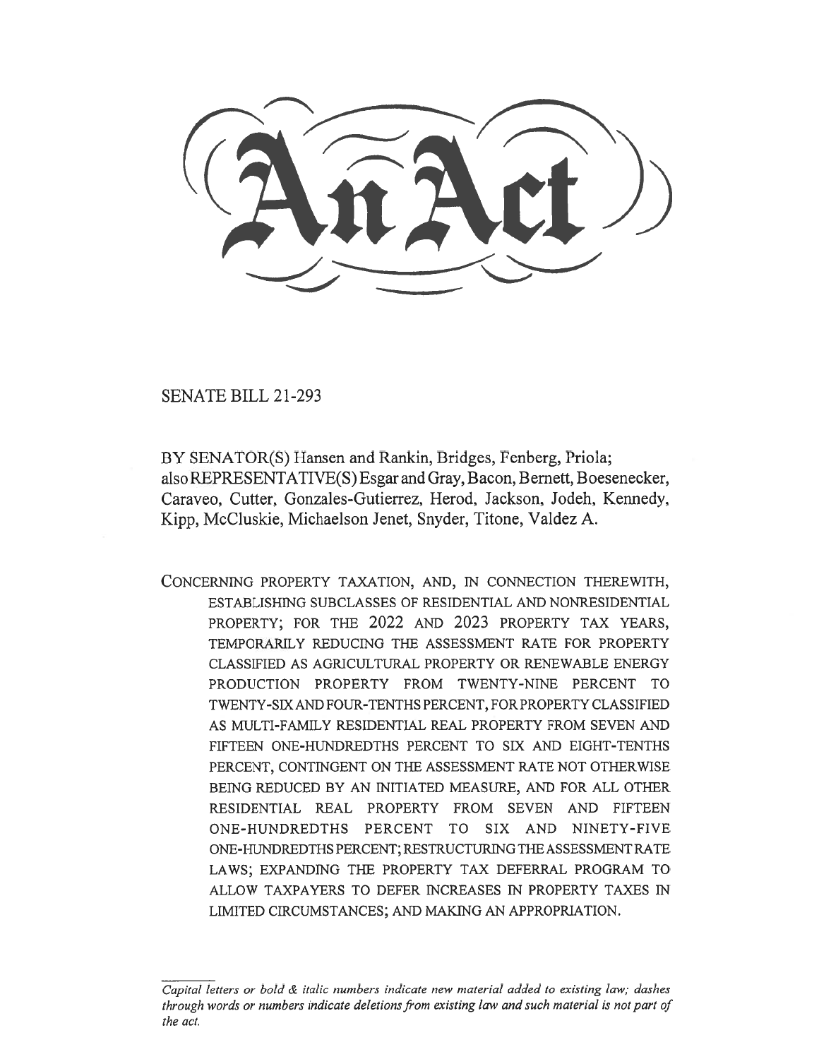SENATE BILL 21-293

BY SENATOR(S) Hansen and Rankin, Bridges, Fenberg, Priola; also REPRESENTATIVE(S) Esgar and Gray, Bacon, Bernett, Boesenecker, Caraveo, Cutter, Gonzales-Gutierrez, Herod, Jackson, Jodeh, Kennedy, Kipp, McCluskie, Michaelson Jenet, Snyder, Titone, Valdez A.

CONCERNING PROPERTY TAXATION, AND, IN CONNECTION THEREWITH, ESTABLISHING SUBCLASSES OF RESIDENTIAL AND NONRESIDENTIAL PROPERTY; FOR THE 2022 AND 2023 PROPERTY TAX YEARS, TEMPORARILY REDUCING THE ASSESSMENT RATE FOR PROPERTY CLASSIFIED AS AGRICULTURAL PROPERTY OR RENEWABLE ENERGY PRODUCTION PROPERTY FROM TWENTY-NINE PERCENT TO TWENTY-SIX AND FOUR-TENTHS PERCENT, FOR PROPERTY CLASSIFIED AS MULTI-FAMILY RESIDENTIAL REAL PROPERTY FROM SEVEN AND FIFTEEN ONE-HUNDREDTHS PERCENT TO SIX AND EIGHT-TENTHS PERCENT, CONTINGENT ON THE ASSESSMENT RATE NOT OTHERWISE BEING REDUCED BY AN INITIATED MEASURE, AND FOR ALL OTHER RESIDENTIAL REAL PROPERTY FROM SEVEN AND FIFTEEN ONE-HUNDREDTHS PERCENT TO SIX AND NINETY-FIVE ONE-HUNDREDTHS PERCENT; RESTRUCTURING THE ASSESSMENT RATE LAWS; EXPANDING THE PROPERTY TAX DEFERRAL PROGRAM TO ALLOW TAXPAYERS TO DEFER INCREASES IN PROPERTY TAXES IN LIMITED CIRCUMSTANCES; AND MAKING AN APPROPRIATION.

 $\overline{C}$ apital letters or bold  $\&$  italic numbers indicate new material added to existing law; dashes through words or numbers indicate deletions from existing law and such material is not part of the act.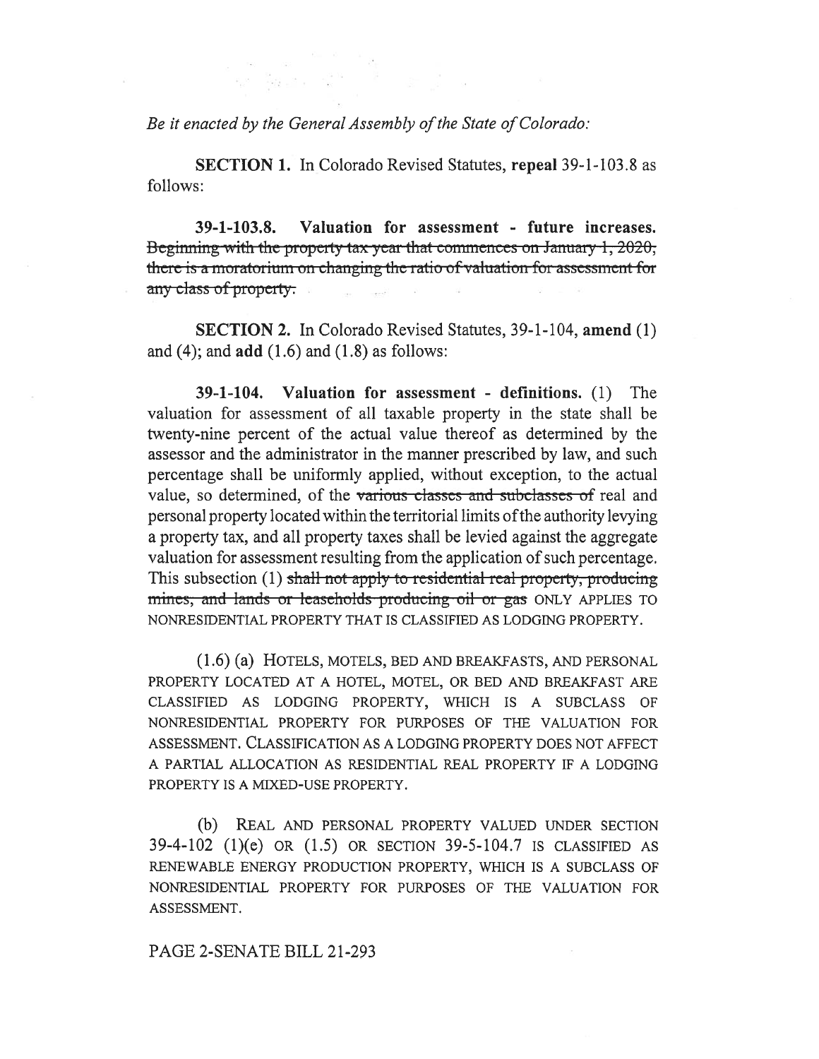Be it enacted by the General Assembly of the State of Colorado:

SECTION 1. In Colorado Revised Statutes, repeal 39-1-103.8 as follows:

39-1-103.8. Valuation for assessment - future increases. Beginning with the property tax year that commences on January 1, 2020, there is a moratorium on changing the ratio of valuation for assessment for any class of property.

SECTION 2. In Colorado Revised Statutes, 39-1-104, amend (1) and (4); and  $add(1.6)$  and  $(1.8)$  as follows:

39-1-104. Valuation for assessment - definitions. (1) The valuation for assessment of all taxable property in the state shall be twenty-nine percent of the actual value thereof as determined by the assessor and the administrator in the manner prescribed by law, and such percentage shall be uniformly applied, without exception, to the actual value, so determined, of the various classes and subclasses of real and personal property located within the territorial limits of the authority levying a property tax, and all property taxes shall be levied against the aggregate valuation for assessment resulting from the application of such percentage. This subsection (1) shall not apply to residential real-property; producing mines, and lands or leaseholds producing oil or gas ONLY APPLIES TO NONRESIDENTIAL PROPERTY THAT IS CLASSIFIED AS LODGING PROPERTY.

(1.6) (a) HOTELS, MOTELS, BED AND BREAKFASTS, AND PERSONAL PROPERTY LOCATED AT A HOTEL, MOTEL, OR BED AND BREAKFAST ARE CLASSIFIED AS LODGING PROPERTY, WHICH IS A SUBCLASS OF NONRESIDENTIAL PROPERTY FOR PURPOSES OF THE VALUATION FOR ASSESSMENT. CLASSIFICATION AS A LODGING PROPERTY DOES NOT AFFECT A PARTIAL ALLOCATION AS RESIDENTIAL REAL PROPERTY IF A LODGING PROPERTY IS A MIXED-USE PROPERTY.

(b) REAL AND PERSONAL PROPERTY VALUED UNDER SECTION 39-4-102 (1)(e) OR (1.5) OR SECTION 39-5-104.7 IS CLASSIFIED AS RENEWABLE ENERGY PRODUCTION PROPERTY, WHICH IS A SUBCLASS OF NONRESIDENTIAL PROPERTY FOR PURPOSES OF THE VALUATION FOR ASSESSMENT.

PAGE 2-SENATE BILL 21-293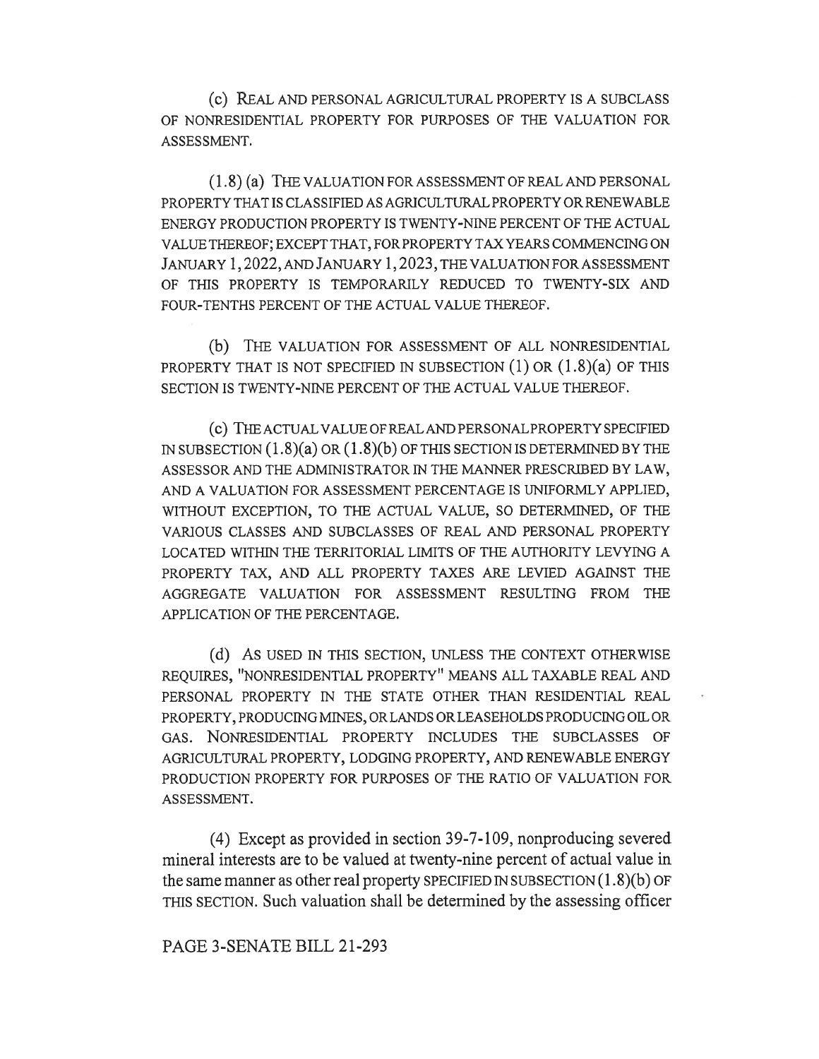(c) REAL AND PERSONAL AGRICULTURAL PROPERTY IS A SUBCLASS OF NONRESIDENTIAL PROPERTY FOR PURPOSES OF THE VALUATION FOR ASSESSMENT.

(1.8) (a) THE VALUATION FOR ASSESSMENT OF REAL AND PERSONAL PROPERTY THAT IS CLASSIFIED AS AGRICULTURAL PROPERTY OR RENEWABLE ENERGY PRODUCTION PROPERTY IS TWENTY-NINE PERCENT OF THE ACTUAL VALUE THEREOF; EXCEPT THAT, FOR PROPERTY TAX YEARS COMMENCING ON JANUARY 1, 2022, AND JANUARY 1, 2023, THE VALUATION FOR ASSESSMENT OF THIS PROPERTY IS TEMPORARILY REDUCED TO TWENTY-SIX AND FOUR-TENTHS PERCENT OF THE ACTUAL VALUE THEREOF.

(b) THE VALUATION FOR ASSESSMENT OF ALL NONRESIDENTIAL PROPERTY THAT IS NOT SPECIFIED IN SUBSECTION  $(1)$  OR  $(1.8)(a)$  OF THIS SECTION IS TWENTY-NINE PERCENT OF THE ACTUAL VALUE THEREOF.

(C) THE ACTUAL VALUE OF REAL AND PERSONAL PROPERTY SPECIFIED IN SUBSECTION  $(1.8)(a)$  OR  $(1.8)(b)$  OF THIS SECTION IS DETERMINED BY THE ASSESSOR AND THE ADMINISTRATOR IN THE MANNER PRESCRIBED BY LAW, AND A VALUATION FOR ASSESSMENT PERCENTAGE IS UNIFORMLY APPLIED, WITHOUT EXCEPTION, TO THE ACTUAL VALUE, SO DETERMINED, OF THE VARIOUS CLASSES AND SUBCLASSES OF REAL AND PERSONAL PROPERTY LOCATED WITHIN THE TERRITORIAL LIMITS OF THE AUTHORITY LEVYING A PROPERTY TAX, AND ALL PROPERTY TAXES ARE LEVIED AGAINST THE AGGREGATE VALUATION FOR ASSESSMENT RESULTING FROM THE APPLICATION OF THE PERCENTAGE.

(d) AS USED IN THIS SECTION, UNLESS THE CONTEXT OTHERWISE REQUIRES, "NONRESIDENTIAL PROPERTY" MEANS ALL TAXABLE REAL AND PERSONAL PROPERTY IN THE STATE OTHER THAN RESIDENTIAL REAL PROPERTY, PRODUCING MINES, OR LANDS OR LEASEHOLDS PRODUCING OIL OR GAS. NONRESIDENTIAL PROPERTY INCLUDES THE SUBCLASSES OF AGRICULTURAL PROPERTY, LODGING PROPERTY, AND RENEWABLE ENERGY PRODUCTION PROPERTY FOR PURPOSES OF THE RATIO OF VALUATION FOR ASSESSMENT.

(4) Except as provided in section 39-7-109, nonproducing severed mineral interests are to be valued at twenty-nine percent of actual value in the same manner as other real property SPECIFIED IN SUBSECTION  $(1.8)(b)$  OF THIS SECTION. Such valuation shall be determined by the assessing officer

PAGE 3-SENATE BILL 21-293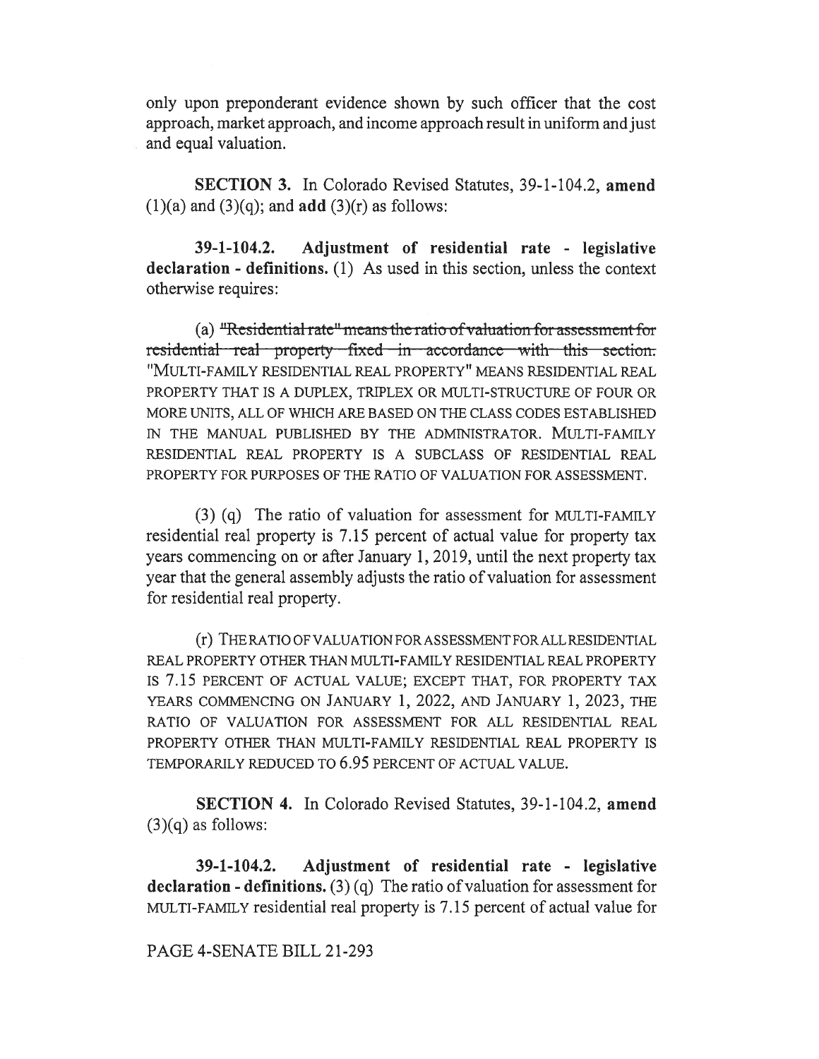only upon preponderant evidence shown by such officer that the cost approach, market approach, and income approach result in uniform and just and equal valuation.

SECTION 3. In Colorado Revised Statutes, 39-1-104.2, amend  $(1)(a)$  and  $(3)(q)$ ; and **add**  $(3)(r)$  as follows:

39-1-104.2. Adjustment of residential rate - legislative declaration - definitions. (1) As used in this section, unless the context otherwise requires:

(a)  $\text{``Residental rate''}$  means the ratio of valuation for assessment for residential real property fixed in accordance with this section. "MULTI-FAMILY RESIDENTIAL REAL PROPERTY" MEANS RESIDENTIAL REAL PROPERTY THAT IS A DUPLEX, TRIPLEX OR MULTI-STRUCTURE OF FOUR OR MORE UNITS, ALL OF WHICH ARE BASED ON THE CLASS CODES ESTABLISHED IN THE MANUAL PUBLISHED BY THE ADMINISTRATOR. MULTI-FAMILY RESIDENTIAL REAL PROPERTY IS A SUBCLASS OF RESIDENTIAL REAL PROPERTY FOR PURPOSES OF THE RATIO OF VALUATION FOR ASSESSMENT.

(3) (q) The ratio of valuation for assessment for MULTI-FAMILY residential real property is 7.15 percent of actual value for property tax years commencing on or after January 1, 2019, until the next property tax year that the general assembly adjusts the ratio of valuation for assessment for residential real property.

(r) THE RATIO OF VALUATION FOR ASSESSMENT FOR ALL RESIDENTIAL REAL PROPERTY OTHER THAN MULTI-FAMILY RESIDENTIAL REAL PROPERTY IS 7.15 PERCENT OF ACTUAL VALUE; EXCEPT THAT, FOR PROPERTY TAX YEARS COMMENCING ON JANUARY 1, 2022, AND JANUARY 1, 2023, THE RATIO OF VALUATION FOR ASSESSMENT FOR ALL RESIDENTIAL REAL PROPERTY OTHER THAN MULTI-FAMILY RESIDENTIAL REAL PROPERTY IS TEMPORARILY REDUCED TO 6.95 PERCENT OF ACTUAL VALUE.

SECTION 4. In Colorado Revised Statutes, 39-1-104.2, amend  $(3)(q)$  as follows:

39-1-104.2. Adjustment of residential rate - legislative declaration - definitions. (3) (q) The ratio of valuation for assessment for MULTI-FAMILY residential real property is 7.15 percent of actual value for

## PAGE 4-SENATE BILL 21-293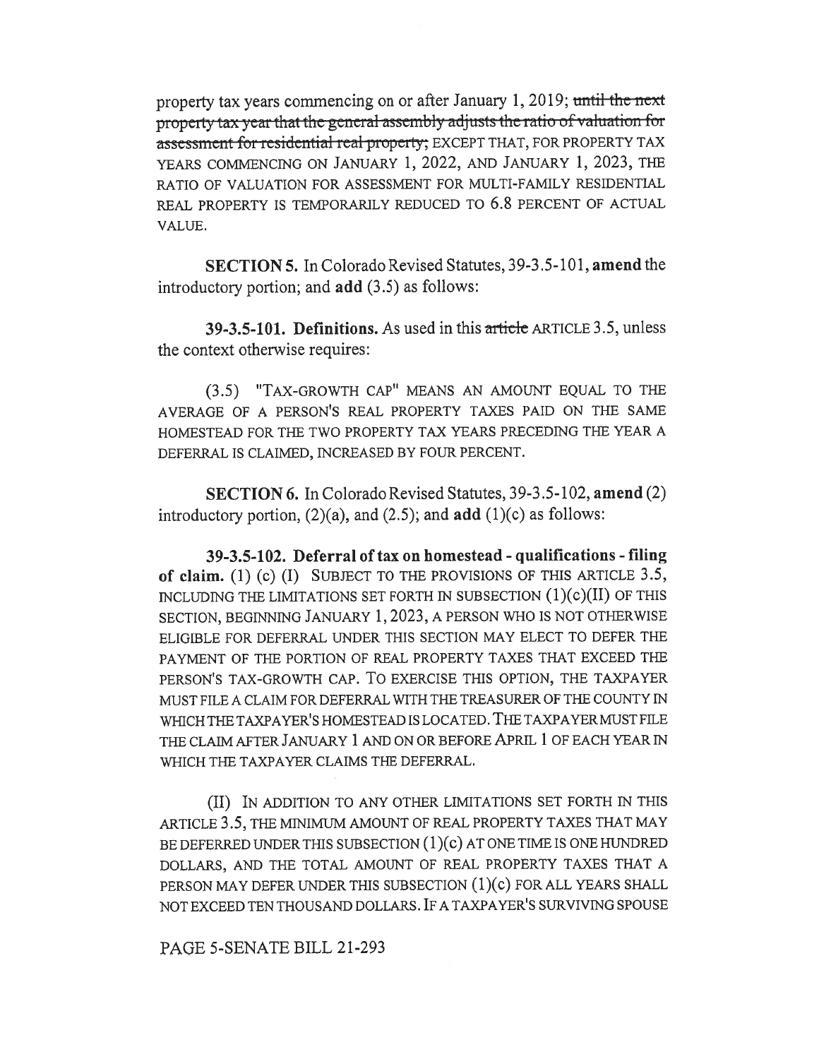property tax years commencing on or after January 1, 2019; until the next property tax-year that the-general-assembly adjusts the ratio-of valuation for assessment for residential real property; EXCEPT THAT, FOR PROPERTY TAX YEARS COMMENCING ON JANUARY 1, 2022, AND JANUARY 1, 2023, THE RATIO OF VALUATION FOR ASSESSMENT FOR MULTI-FAMILY RESIDENTIAL REAL PROPERTY IS TEMPORARILY REDUCED TO 6.8 PERCENT OF ACTUAL VALUE.

SECTION 5. In Colorado Revised Statutes, 39-3.5-101, amend the introductory portion; and add (3.5) as follows:

39-3.5-101. Definitions. As used in this article ARTICLE 3.5, unless the context otherwise requires:

(3.5) "TAX-GROWTH CAP" MEANS AN AMOUNT EQUAL TO THE AVERAGE OF A PERSON'S REAL PROPERTY TAXES PAID ON THE SAME HOMESTEAD FOR THE TWO PROPERTY TAX YEARS PRECEDING THE YEAR A DEFERRAL IS CLAIMED, INCREASED BY FOUR PERCENT.

SECTION 6. In Colorado Revised Statutes, 39-3.5-102, amend (2) introductory portion,  $(2)(a)$ , and  $(2.5)$ ; and  $add (1)(c)$  as follows:

39-3.5-102. Deferral of tax on homestead - qualifications - filing of claim. (1) (c) (I) SUBJECT TO THE PROVISIONS OF THIS ARTICLE 3.5, INCLUDING THE LIMITATIONS SET FORTH IN SUBSECTION (1)(c)(II) OF THIS SECTION, BEGINNING JANUARY 1, 2023, A PERSON WHO IS NOT OTHERWISE ELIGIBLE FOR DEFERRAL UNDER THIS SECTION MAY ELECT TO DEFER THE PAYMENT OF THE PORTION OF REAL PROPERTY TAXES THAT EXCEED THE PERSON'S TAX-GROWTH CAP. To EXERCISE THIS OPTION, THE TAXPAYER MUST FILE A CLAIM FOR DEFERRAL WITH THE TREASURER OF THE COUNTY IN WHICH THE TAXPAYER'S HOMESTEAD IS LOCATED. THE TAXPAYER MUST FILE THE CLAIM AFTER JANUARY 1 AND ON OR BEFORE APRIL 1 OF EACH YEAR IN WHICH THE TAXPAYER CLAIMS THE DEFERRAL.

(II) IN ADDITION TO ANY OTHER LIMITATIONS SET FORTH IN THIS ARTICLE 3.5, THE MINIMUM AMOUNT OF REAL PROPERTY TAXES THAT MAY BE DEFERRED UNDER THIS SUBSECTION (1)(c) AT ONE TIME IS ONE HUNDRED DOLLARS, AND THE TOTAL AMOUNT OF REAL PROPERTY TAXES THAT A PERSON MAY DEFER UNDER THIS SUBSECTION (1)(c) FOR ALL YEARS SHALL NOT EXCEED TEN THOUSAND DOLLARS. IF A TAXPAYER'S SURVIVING SPOUSE

PAGE 5-SENATE BILL 21-293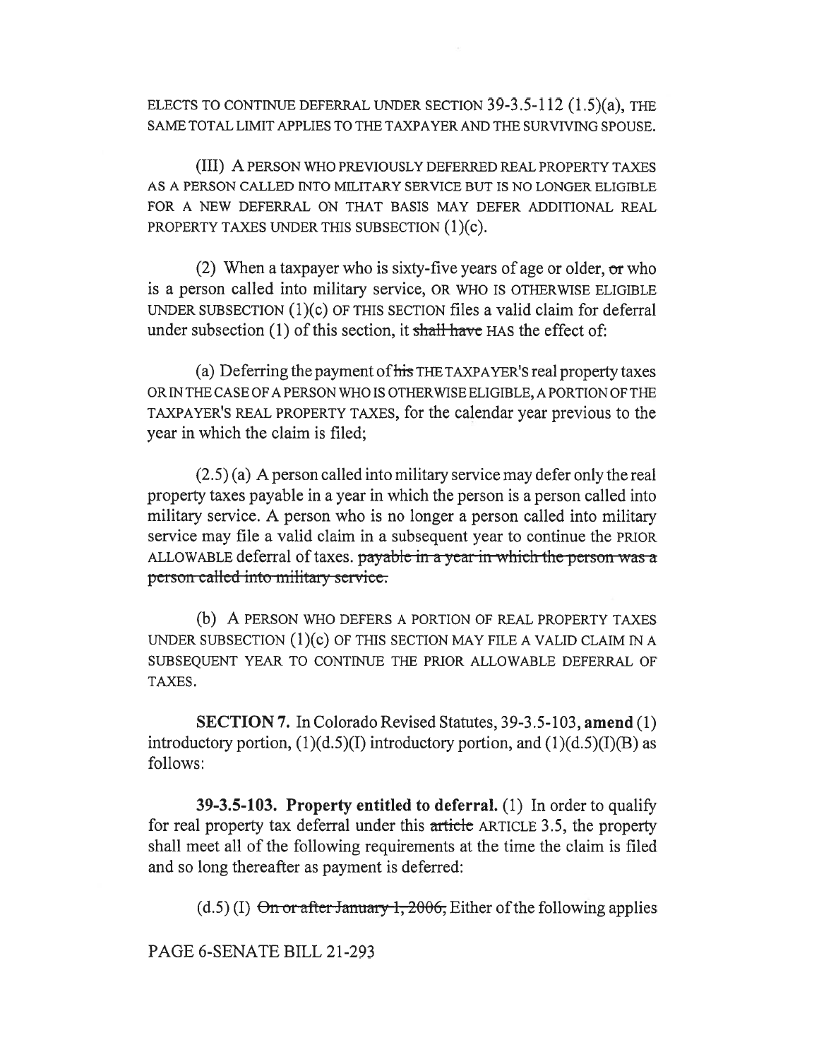ELECTS TO CONTINUE DEFERRAL UNDER SECTION 39-3.5-112 (1.5)(a), THE SAME TOTAL LIMIT APPLIES TO THE TAXPAYER AND THE SURVIVING SPOUSE.

(III) A PERSON WHO PREVIOUSLY DEFERRED REAL PROPERTY TAXES AS A PERSON CALLED INTO MILITARY SERVICE BUT IS NO LONGER ELIGIBLE FOR A NEW DEFERRAL ON THAT BASIS MAY DEFER ADDITIONAL REAL PROPERTY TAXES UNDER THIS SUBSECTION (1)(c).

(2) When a taxpayer who is sixty-five years of age or older,  $\sigma r$  who is a person called into military service, OR WHO IS OTHERWISE ELIGIBLE UNDER SUBSECTION (1)(c) OF THIS SECTION files a valid claim for deferral under subsection  $(1)$  of this section, it shall have HAS the effect of:

(a) Deferring the payment of his THE TAXPAYER's real property taxes OR IN THE CASE OF A PERSON WHO IS OTHERWISE ELIGIBLE, A PORTION OF THE TAXPAYER'S REAL PROPERTY TAXES, for the calendar year previous to the year in which the claim is filed;

(2.5) (a) A person called into military service may defer only the real property taxes payable in a year in which the person is a person called into military service. A person who is no longer a person called into military service may file a valid claim in a subsequent year to continue the PRIOR ALLOWABLE deferral of taxes. payable in a year in which the person was a person called into military service.

(b) A PERSON WHO DEFERS A PORTION OF REAL PROPERTY TAXES UNDER SUBSECTION  $(1)(c)$  OF THIS SECTION MAY FILE A VALID CLAIM IN A SUBSEQUENT YEAR TO CONTINUE THE PRIOR ALLOWABLE DEFERRAL OF TAXES.

SECTION 7. In Colorado Revised Statutes, 39-3.5-103, amend (1) introductory portion,  $(1)(d.5)(I)$  introductory portion, and  $(1)(d.5)(I)(B)$  as follows:

39-3.5-103. Property entitled to deferral. (1) In order to qualify for real property tax deferral under this article ARTICLE 3.5, the property shall meet all of the following requirements at the time the claim is filed and so long thereafter as payment is deferred:

 $(d.5)$  (I) On or after January 1, 2006, Either of the following applies

PAGE 6-SENATE BILL 21-293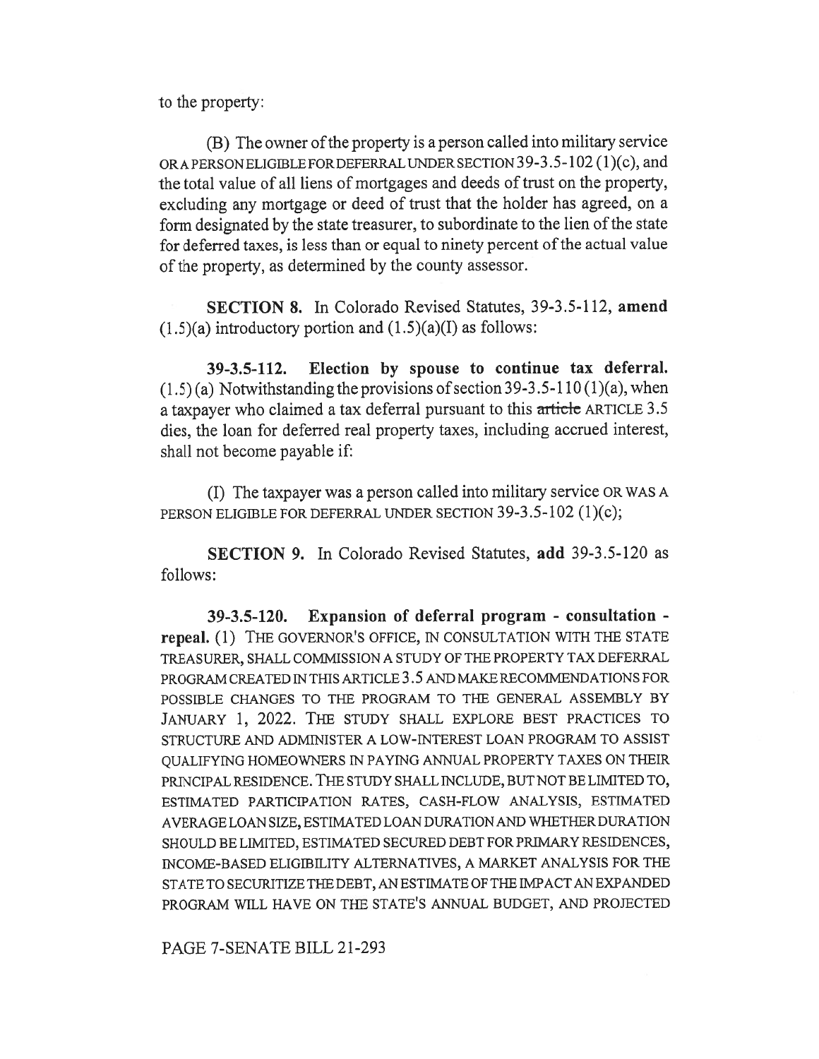to the property:

(B) The owner of the property is a person called into military service ORA PERSON ELIGIBLE FORDEFERRAL UNDER SECTION 39-3.5-102 (1)(c), and the total value of all liens of mortgages and deeds of trust on the property, excluding any mortgage or deed of trust that the holder has agreed, on a form designated by the state treasurer, to subordinate to the lien of the state for deferred taxes, is less than or equal to ninety percent of the actual value of the property, as determined by the county assessor.

SECTION 8. In Colorado Revised Statutes, 39-3.5-112, amend  $(1.5)(a)$  introductory portion and  $(1.5)(a)(I)$  as follows:

39-3.5-112. Election by spouse to continue tax deferral.  $(1.5)$  (a) Notwithstanding the provisions of section 39-3.5-110 (1)(a), when a taxpayer who claimed a tax deferral pursuant to this article ARTICLE 3.5 dies, the loan for deferred real property taxes, including accrued interest, shall not become payable if:

(I) The taxpayer was a person called into military service OR WAS A PERSON ELIGIBLE FOR DEFERRAL UNDER SECTION 39-3.5-102 (1)(c);

SECTION 9. In Colorado Revised Statutes, add 39-3.5-120 as follows:

39-3.5-120. Expansion of deferral program - consultation repeal. (1) THE GOVERNOR'S OFFICE, IN CONSULTATION WITH THE STATE TREASURER, SHALL COMMISSION A STUDY OF THE PROPERTY TAX DEFERRAL PROGRAM CREATED IN THIS ARTICLE 3.5 AND MAKE RECOMMENDATIONS FOR POSSIBLE CHANGES TO THE PROGRAM TO THE GENERAL ASSEMBLY BY JANUARY 1, 2022. THE STUDY SHALL EXPLORE BEST PRACTICES TO STRUCTURE AND ADMINISTER A LOW-INTEREST LOAN PROGRAM TO ASSIST QUALIFYING HOMEOWNERS IN PAYING ANNUAL PROPERTY TAXES ON THEIR PRINCIPAL RESIDENCE. THE STUDY SHALL INCLUDE, BUT NOT BE LIMITED TO, ESTIMATED PARTICIPATION RATES, CASH-FLOW ANALYSIS, ESTIMATED AVERAGE LOAN SIZE, ESTIMATED LOAN DURATION AND WHETHER DURATION SHOULD BE LIMITED, ESTIMATED SECURED DEBT FOR PRIMARY RESIDENCES, INCOME-BASED ELIGIBILITY ALTERNATIVES, A MARKET ANALYSIS FOR THE STATE TO SECURITIZE THE DEBT, AN ESTIMATE OF THE IMPACT AN EXPANDED PROGRAM WILL HAVE ON THE STATE'S ANNUAL BUDGET, AND PROJECTED

PAGE 7-SENATE BILL 21-293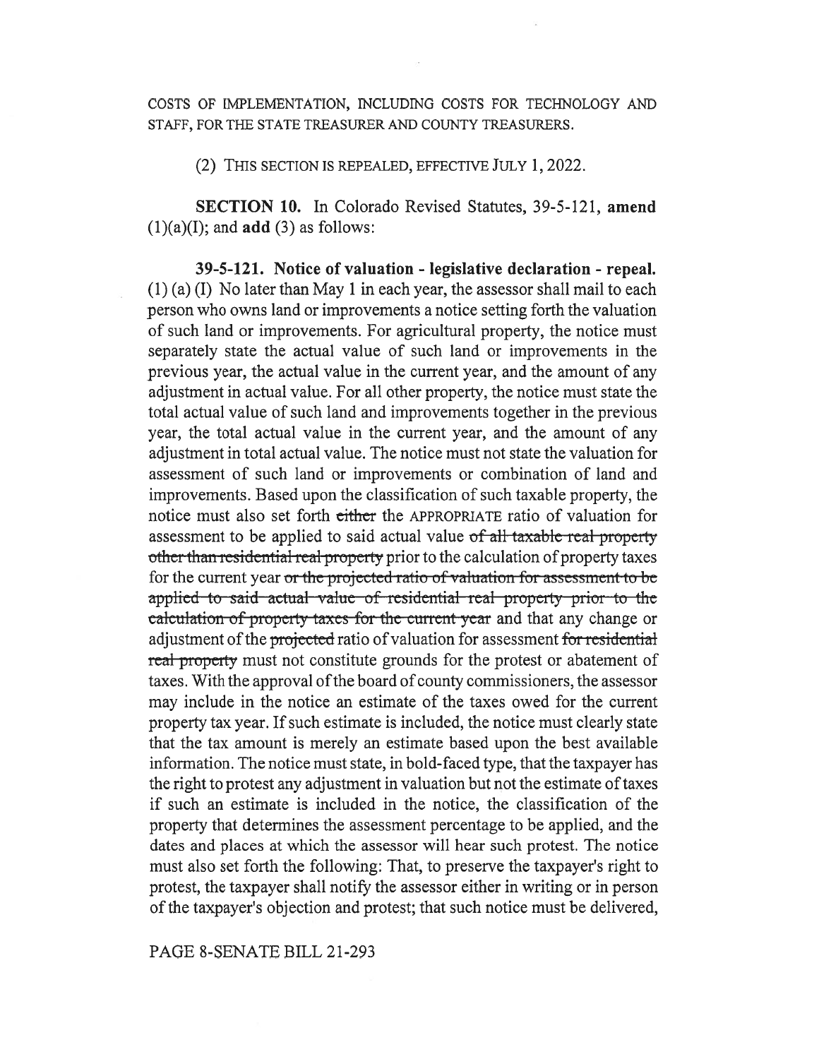COSTS OF IMPLEMENTATION, INCLUDING COSTS FOR TECHNOLOGY AND STAFF, FOR THE STATE TREASURER AND COUNTY TREASURERS.

(2) THIS SECTION IS REPEALED, EFFECTIVE JULY 1, 2022.

SECTION 10. In Colorado Revised Statutes, 39-5-121, amend  $(1)(a)(I)$ ; and **add**  $(3)$  as follows:

39-5-121. Notice of valuation - legislative declaration - repeal. (1) (a) (I) No later than May 1 in each year, the assessor shall mail to each person who owns land or improvements a notice setting forth the valuation of such land or improvements. For agricultural property, the notice must separately state the actual value of such land or improvements in the previous year, the actual value in the current year, and the amount of any adjustment in actual value. For all other property, the notice must state the total actual value of such land and improvements together in the previous year, the total actual value in the current year, and the amount of any adjustment in total actual value. The notice must not state the valuation for assessment of such land or improvements or combination of land and improvements. Based upon the classification of such taxable property, the notice must also set forth either the APPROPRIATE ratio of valuation for assessment to be applied to said actual value  $of$  all taxable real property assessment to be appried to said actual value of all taxable real property<br>other than residential real property prior to the calculation of property taxes for the current year or the projected ratio of valuation for assessment to be applied to said-actual-value of residential-real property-prior-to-the ealculation of property taxes for the current-year and that any change or adjustment of the projected ratio of valuation for assessment for residential real property must not constitute grounds for the protest or abatement of taxes. With the approval of the board of county commissioners, the assessor may include in the notice an estimate of the taxes owed for the current property tax year. If such estimate is included, the notice must clearly state that the tax amount is merely an estimate based upon the best available information. The notice must state, in bold-faced type, that the taxpayer has the right to protest any adjustment in valuation but not the estimate of taxes if such an estimate is included in the notice, the classification of the property that determines the assessment percentage to be applied, and the dates and places at which the assessor will hear such protest. The notice must also set forth the following: That, to preserve the taxpayer's right to protest, the taxpayer shall notify the assessor either in writing or in person of the taxpayer's objection and protest; that such notice must be delivered,

## PAGE 8-SENATE BILL 21-293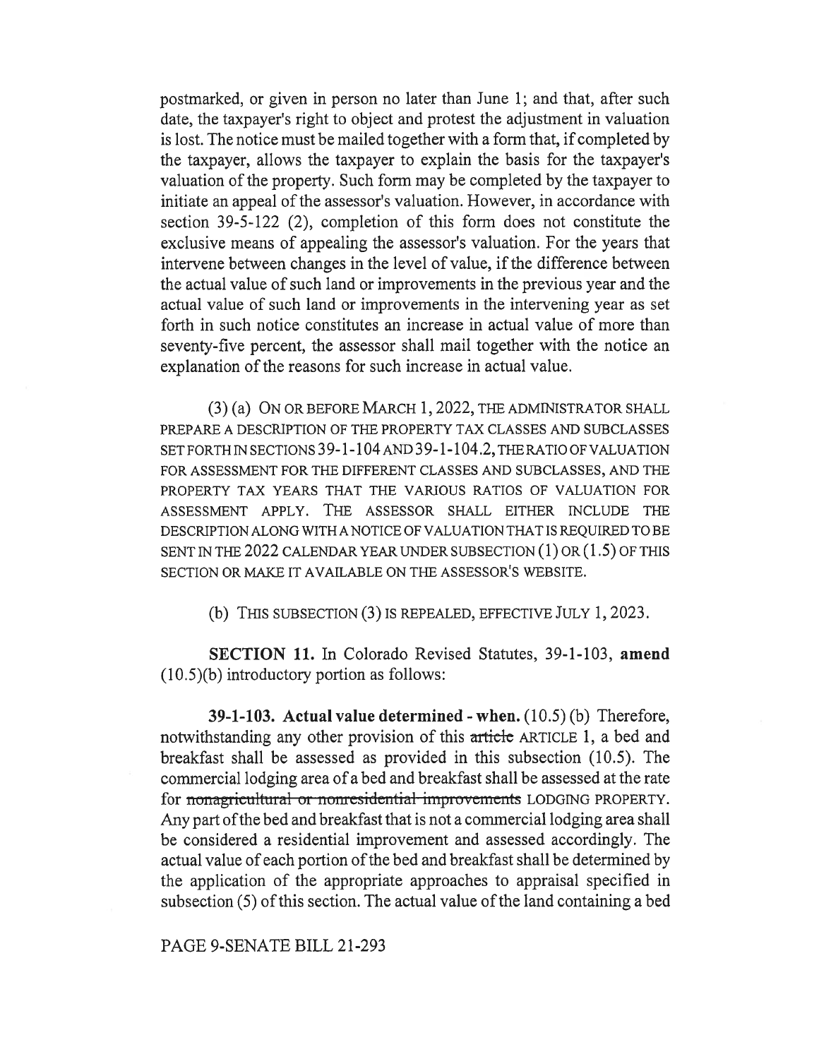postmarked, or given in person no later than June 1; and that, after such date, the taxpayer's right to object and protest the adjustment in valuation is lost. The notice must be mailed together with a form that, if completed by the taxpayer, allows the taxpayer to explain the basis for the taxpayer's valuation of the property. Such form may be completed by the taxpayer to initiate an appeal of the assessor's valuation. However, in accordance with section 39-5-122 (2), completion of this form does not constitute the exclusive means of appealing the assessor's valuation. For the years that intervene between changes in the level of value, if the difference between the actual value of such land or improvements in the previous year and the actual value of such land or improvements in the intervening year as set forth in such notice constitutes an increase in actual value of more than seventy-five percent, the assessor shall mail together with the notice an explanation of the reasons for such increase in actual value.

(3) (a) ON OR BEFORE MARCH 1, 2022, THE ADMINISTRATOR SHALL PREPARE A DESCRIPTION OF THE PROPERTY TAX CLASSES AND SUBCLASSES SET FORTH IN SECTIONS 39-1-104 AND 39-1-104.2, THE RATIO OF VALUATION FOR ASSESSMENT FOR THE DIFFERENT CLASSES AND SUBCLASSES, AND THE PROPERTY TAX YEARS THAT THE VARIOUS RATIOS OF VALUATION FOR ASSESSMENT APPLY. THE ASSESSOR SHALL EITHER INCLUDE THE DESCRIPTION ALONG WITH A NOTICE OF VALUATION THAT IS REQUIRED TO BE SENT IN THE 2022 CALENDAR YEAR UNDER SUBSECTION (1) OR (1.5) OF THIS SECTION OR MAKE IT AVAILABLE ON THE ASSESSOR'S WEBSITE.

(b) THIS SUBSECTION (3) IS REPEALED, EFFECTIVE JULY 1, 2023.

SECTION 11. In Colorado Revised Statutes, 39-1-103, amend (10.5)(b) introductory portion as follows:

39-1-103. Actual value determined - when. (10.5) (b) Therefore, notwithstanding any other provision of this article ARTICLE 1, a bed and breakfast shall be assessed as provided in this subsection (10.5). The commercial lodging area of a bed and breakfast shall be assessed at the rate for nonagricultural or nonresidential improvements LODGING PROPERTY. Any part of the bed and breakfast that is not a commercial lodging area shall be considered a residential improvement and assessed accordingly. The actual value of each portion of the bed and breakfast shall be determined by the application of the appropriate approaches to appraisal specified in subsection (5) of this section. The actual value of the land containing a bed

PAGE 9-SENATE BILL 21-293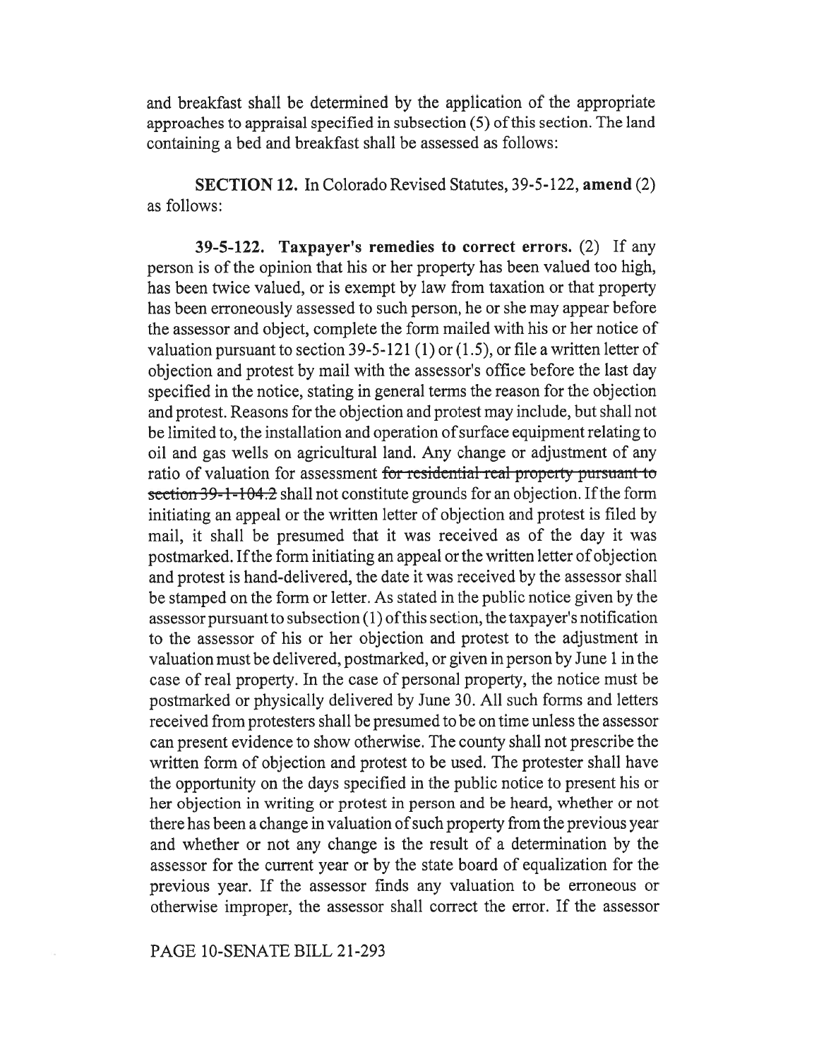and breakfast shall be determined by the application of the appropriate approaches to appraisal specified in subsection (5) of this section. The land containing a bed and breakfast shall be assessed as follows:

SECTION 12. In Colorado Revised Statutes, 39-5-122, amend (2) as follows:

39-5-122. Taxpayer's remedies to correct errors. (2) If any person is of the opinion that his or her property has been valued too high, has been twice valued, or is exempt by law from taxation or that property has been erroneously assessed to such person, he or she may appear before the assessor and object, complete the form mailed with his or her notice of valuation pursuant to section 39-5-121 (1) or  $(1.5)$ , or file a written letter of objection and protest by mail with the assessor's office before the last day specified in the notice, stating in general terms the reason for the objection and protest. Reasons for the objection and protest may include, but shall not be limited to, the installation and operation of surface equipment relating to oil and gas wells on agricultural land. Any change or adjustment of any ratio of valuation for assessment for residential real property pursuant to section 39-1-104.2 shall not constitute grounds for an objection. If the form initiating an appeal or the written letter of objection and protest is filed by mail, it shall be presumed that it was received as of the day it was postmarked. If the form initiating an appeal or the written letter of objection and protest is hand-delivered, the date it was received by the assessor shall be stamped on the form or letter. As stated in the public notice given by the assessor pursuant to subsection (1) ofthis section, the taxpayer's notification to the assessor of his or her objection and protest to the adjustment in valuation must be delivered, postmarked, or given in person by June 1 in the case of real property. In the case of personal property, the notice must be postmarked or physically delivered by June 30. All such forms and letters received from protesters shall be presumed to be on time unless the assessor can present evidence to show otherwise. The county shall not prescribe the written form of objection and protest to be used. The protester shall have the opportunity on the days specified in the public notice to present his or her objection in writing or protest in person and be heard, whether or not there has been a change in valuation of such property from the previous year and whether or not any change is the result of a determination by the assessor for the current year or by the state board of equalization for the previous year. If the assessor finds any valuation to be erroneous or otherwise improper, the assessor shall correct the error. If the assessor

## PAGE 10-SENATE BILL 21-293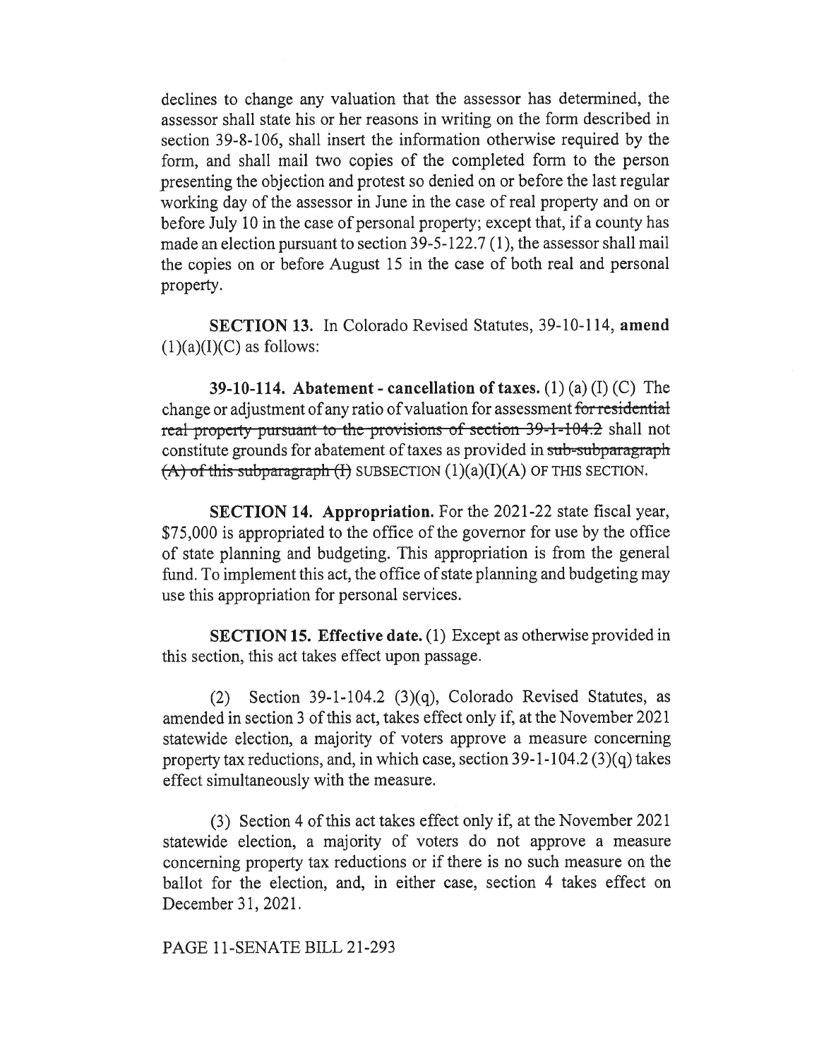declines to change any valuation that the assessor has determined, the assessor shall state his or her reasons in writing on the form described in section 39-8-106, shall insert the information otherwise required by the form, and shall mail two copies of the completed form to the person presenting the objection and protest so denied on or before the last regular working day of the assessor in June in the case of real property and on or before July 10 in the case of personal property; except that, if a county has made an election pursuant to section 39-5-122.7 (1), the assessor shall mail the copies on or before August 15 in the case of both real and personal property.

SECTION 13. In Colorado Revised Statutes, 39-10-114, amend  $(1)(a)(I)(C)$  as follows:

39-10-114. Abatement - cancellation of taxes. (1) (a) (I) (C) The change or adjustment of any ratio of valuation for assessment for residential real-property pursuant to the provisions of section 39-1-104.2 shall not constitute grounds for abatement of taxes as provided in sub-subparagraph  $(A)$  of this subparagraph (I) SUBSECTION  $(1)(a)(I)(A)$  OF THIS SECTION.

SECTION 14. Appropriation. For the 2021-22 state fiscal year, \$75,000 is appropriated to the office of the governor for use by the office of state planning and budgeting. This appropriation is from the general fund. To implement this act, the office of state planning and budgeting may use this appropriation for personal services.

SECTION 15. Effective date. (1) Except as otherwise provided in this section, this act takes effect upon passage.

(2) Section 39-1-104.2 (3)(q), Colorado Revised Statutes, as amended in section 3 of this act, takes effect only if, at the November 2021 statewide election, a majority of voters approve a measure concerning property tax reductions, and, in which case, section 39-1-104.2 (3)(q) takes effect simultaneously with the measure.

(3) Section 4 of this act takes effect only if, at the November 2021 statewide election, a majority of voters do not approve a measure concerning property tax reductions or if there is no such measure on the ballot for the election, and, in either case, section 4 takes effect on December 31, 2021.

PAGE 11-SENATE BILL 21-293